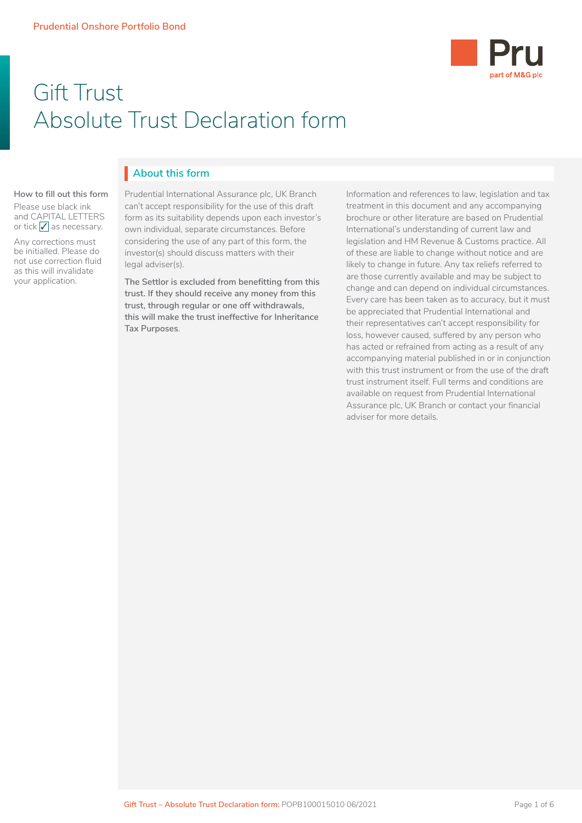

# Gift Trust Absolute Trust Declaration form

# **About this form** I

#### **How to fill out this form**

Please use black ink and CAPITAL LETTERS or tick  $\sqrt{\ }$  as necessary.

Any corrections must be initialled. Please do not use correction fluid as this will invalidate your application.

Prudential International Assurance plc, UK Branch can't accept responsibility for the use of this draft form as its suitability depends upon each investor's considering the use of any part of this form, the investor(s) should discuss matters with their own individual, separate circumstances. Before legal adviser(s).

• Client Agreement trust. If they should receive any money from this **the funds to the funds to the funds to the funds to the funds** trust, through regular or one off withdrawals, **produce the contract of the contract of The Settlor is excluded from benefitting from this this will make the trust ineffective for Inheritance Tax Purposes**.

Information and references to law, legislation and tax treatment in this document and any accompanying<br>. International's understanding of current law and legislation and HM Revenue & Customs practice. All brochure or other literature are based on Prudential of these are liable to change without notice and are likely to change in future. Any tax reliefs referred to are those currently available and may be subject to change and can depend on individual circumstances. Every care has been taken as to accuracy, but it must be appreciated that Prudential International and their representatives can't accept responsibility for loss, however caused, suffered by any person who has acted or refrained from acting as a result of any accompanying material published in or in conjunction with this trust instrument or from the use of the draft trust instrument itself. Full terms and conditions are available on request from Prudential International Assurance plc, UK Branch or contact your financial adviser for more details.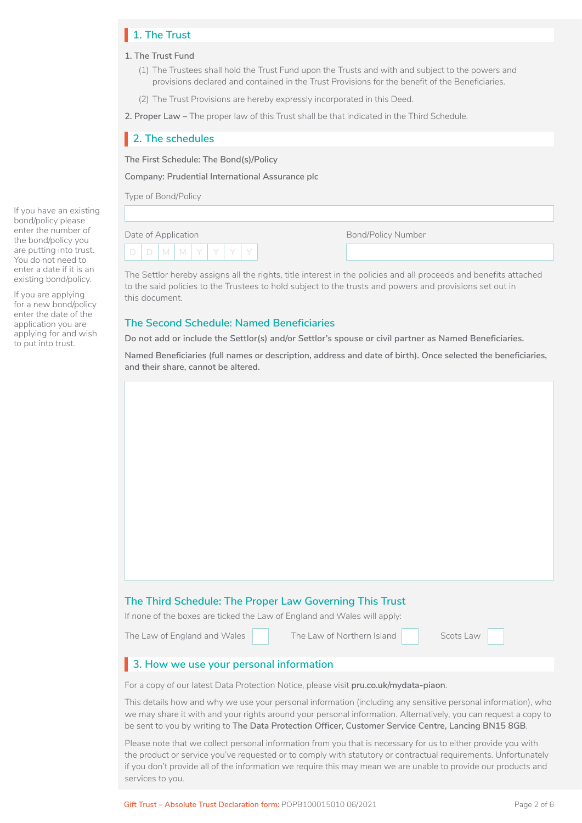# **1. The Trust** I

### **1. The Trust Fund**

- (1) The Trustees shall hold the Trust Fund upon the Trusts and with and subject to the powers and provisions declared and contained in the Trust Provisions for the benefit of the Beneficiaries.
- (2) The Trust Provisions are hereby expressly incorporated in this Deed.

**2. Proper Law –** The proper law of this Trust shall be that indicated in the Third Schedule.

# **2. The schedules** I

**The First Schedule: The Bond(s)/Policy**

**Company: Prudential International Assurance plc**

Type of Bond/Policy

Date of Application

Bond/Policy Number

D | D | M | M | Y | Y | Y | Y

The Settlor hereby assigns all the rights, title interest in the policies and all proceeds and benefits attached to the said policies to the Trustees to hold subject to the trusts and powers and provisions set out in this document.

### **The Second Schedule: Named Beneficiaries**

**Do not add or include the Settlor(s) and/or Settlor's spouse or civil partner as Named Beneficiaries.**

**Named Beneficiaries (full names or description, address and date of birth). Once selected the beneficiaries, and their share, cannot be altered.**

#### **The Third Schedule: The Proper Law Governing This Trust**

If none of the boxes are ticked the Law of England and Wales will apply:

The Law of England and Wales The Law of Northern Island

□ □

| Scots Law |
|-----------|
|-----------|

# **3. How we use your personal information** I

For a copy of our latest Data Protection Notice, please visit **[pru.co.uk/mydata-piaon](https://www.pru.co.uk/mydata-piaon)**.

This details how and why we use your personal information (including any sensitive personal information), who we may share it with and your rights around your personal information. Alternatively, you can request a copy to be sent to you by writing to **The Data Protection Officer, Customer Service Centre, Lancing BN15 8GB**.

Please note that we collect personal information from you that is necessary for us to either provide you with the product or service you've requested or to comply with statutory or contractual requirements. Unfortunately if you don't provide all of the information we require this may mean we are unable to provide our products and services to you.

Gift Trust – Absolute Trust Declaration form: POPB100015010 06/2021 Page 2 of 6

If you have an existing bond/policy please enter the number of the bond/policy you are putting into trust. You do not need to enter a date if it is an existing bond/policy.

If you are applying for a new bond/policy enter the date of the application you are applying for and wish to put into trust.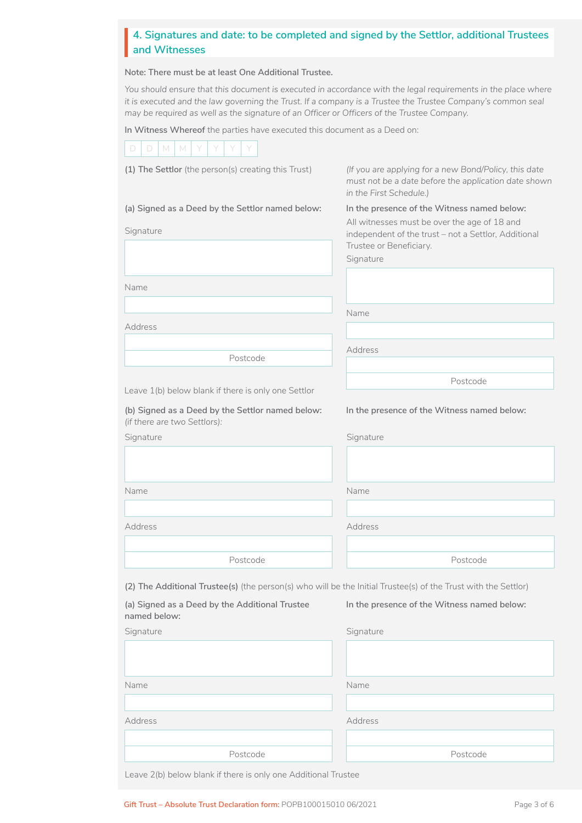### **4. Signatures and date: to be completed and signed by the Settlor, additional Trustees**<br>and Witnesses **and Witnesses**

**Note: There must be at least One Additional Trustee.**

*You should ensure that this document is executed in accordance with the legal requirements in the place where it is executed and the law governing the Trust. If a company is a Trustee the Trustee Company's common seal may be required as well as the signature of an Officer or Officers of the Trustee Company.*

**In Witness Whereof** the parties have executed this document as a Deed on:

| (If you are applying for a new Bond/Policy, this date<br>(1) The Settlor (the person(s) creating this Trust)<br>must not be a date before the application date shown<br>in the First Schedule.)<br>(a) Signed as a Deed by the Settlor named below:<br>In the presence of the Witness named below:<br>All witnesses must be over the age of 18 and<br>Signature<br>independent of the trust - not a Settlor, Additional<br>Trustee or Beneficiary.<br>Signature<br>Name<br>Name<br>Address<br>Address<br>Postcode<br>Postcode<br>Leave 1(b) below blank if there is only one Settlor<br>(b) Signed as a Deed by the Settlor named below:<br>In the presence of the Witness named below:<br>(if there are two Settlors):<br>Signature<br>Signature<br>Name<br>Name<br>Address<br>Address<br>Postcode<br>Postcode<br>(2) The Additional Trustee(s) (the person(s) who will be the Initial Trustee(s) of the Trust with the Settlor)<br>(a) Signed as a Deed by the Additional Trustee<br>In the presence of the Witness named below:<br>named below:<br>Signature<br>Signature<br>Name<br>Name<br>Address<br>Address | D.<br>M<br>M<br>D |          |
|--------------------------------------------------------------------------------------------------------------------------------------------------------------------------------------------------------------------------------------------------------------------------------------------------------------------------------------------------------------------------------------------------------------------------------------------------------------------------------------------------------------------------------------------------------------------------------------------------------------------------------------------------------------------------------------------------------------------------------------------------------------------------------------------------------------------------------------------------------------------------------------------------------------------------------------------------------------------------------------------------------------------------------------------------------------------------------------------------------------------|-------------------|----------|
|                                                                                                                                                                                                                                                                                                                                                                                                                                                                                                                                                                                                                                                                                                                                                                                                                                                                                                                                                                                                                                                                                                                    |                   |          |
|                                                                                                                                                                                                                                                                                                                                                                                                                                                                                                                                                                                                                                                                                                                                                                                                                                                                                                                                                                                                                                                                                                                    |                   |          |
|                                                                                                                                                                                                                                                                                                                                                                                                                                                                                                                                                                                                                                                                                                                                                                                                                                                                                                                                                                                                                                                                                                                    |                   |          |
|                                                                                                                                                                                                                                                                                                                                                                                                                                                                                                                                                                                                                                                                                                                                                                                                                                                                                                                                                                                                                                                                                                                    |                   |          |
|                                                                                                                                                                                                                                                                                                                                                                                                                                                                                                                                                                                                                                                                                                                                                                                                                                                                                                                                                                                                                                                                                                                    |                   |          |
|                                                                                                                                                                                                                                                                                                                                                                                                                                                                                                                                                                                                                                                                                                                                                                                                                                                                                                                                                                                                                                                                                                                    |                   |          |
|                                                                                                                                                                                                                                                                                                                                                                                                                                                                                                                                                                                                                                                                                                                                                                                                                                                                                                                                                                                                                                                                                                                    |                   |          |
|                                                                                                                                                                                                                                                                                                                                                                                                                                                                                                                                                                                                                                                                                                                                                                                                                                                                                                                                                                                                                                                                                                                    |                   |          |
|                                                                                                                                                                                                                                                                                                                                                                                                                                                                                                                                                                                                                                                                                                                                                                                                                                                                                                                                                                                                                                                                                                                    |                   |          |
|                                                                                                                                                                                                                                                                                                                                                                                                                                                                                                                                                                                                                                                                                                                                                                                                                                                                                                                                                                                                                                                                                                                    |                   |          |
|                                                                                                                                                                                                                                                                                                                                                                                                                                                                                                                                                                                                                                                                                                                                                                                                                                                                                                                                                                                                                                                                                                                    |                   |          |
|                                                                                                                                                                                                                                                                                                                                                                                                                                                                                                                                                                                                                                                                                                                                                                                                                                                                                                                                                                                                                                                                                                                    |                   |          |
|                                                                                                                                                                                                                                                                                                                                                                                                                                                                                                                                                                                                                                                                                                                                                                                                                                                                                                                                                                                                                                                                                                                    |                   |          |
|                                                                                                                                                                                                                                                                                                                                                                                                                                                                                                                                                                                                                                                                                                                                                                                                                                                                                                                                                                                                                                                                                                                    |                   |          |
|                                                                                                                                                                                                                                                                                                                                                                                                                                                                                                                                                                                                                                                                                                                                                                                                                                                                                                                                                                                                                                                                                                                    |                   |          |
|                                                                                                                                                                                                                                                                                                                                                                                                                                                                                                                                                                                                                                                                                                                                                                                                                                                                                                                                                                                                                                                                                                                    |                   |          |
|                                                                                                                                                                                                                                                                                                                                                                                                                                                                                                                                                                                                                                                                                                                                                                                                                                                                                                                                                                                                                                                                                                                    |                   |          |
|                                                                                                                                                                                                                                                                                                                                                                                                                                                                                                                                                                                                                                                                                                                                                                                                                                                                                                                                                                                                                                                                                                                    |                   |          |
|                                                                                                                                                                                                                                                                                                                                                                                                                                                                                                                                                                                                                                                                                                                                                                                                                                                                                                                                                                                                                                                                                                                    |                   |          |
|                                                                                                                                                                                                                                                                                                                                                                                                                                                                                                                                                                                                                                                                                                                                                                                                                                                                                                                                                                                                                                                                                                                    |                   |          |
|                                                                                                                                                                                                                                                                                                                                                                                                                                                                                                                                                                                                                                                                                                                                                                                                                                                                                                                                                                                                                                                                                                                    |                   |          |
|                                                                                                                                                                                                                                                                                                                                                                                                                                                                                                                                                                                                                                                                                                                                                                                                                                                                                                                                                                                                                                                                                                                    |                   |          |
|                                                                                                                                                                                                                                                                                                                                                                                                                                                                                                                                                                                                                                                                                                                                                                                                                                                                                                                                                                                                                                                                                                                    |                   |          |
|                                                                                                                                                                                                                                                                                                                                                                                                                                                                                                                                                                                                                                                                                                                                                                                                                                                                                                                                                                                                                                                                                                                    |                   |          |
|                                                                                                                                                                                                                                                                                                                                                                                                                                                                                                                                                                                                                                                                                                                                                                                                                                                                                                                                                                                                                                                                                                                    |                   |          |
|                                                                                                                                                                                                                                                                                                                                                                                                                                                                                                                                                                                                                                                                                                                                                                                                                                                                                                                                                                                                                                                                                                                    |                   |          |
|                                                                                                                                                                                                                                                                                                                                                                                                                                                                                                                                                                                                                                                                                                                                                                                                                                                                                                                                                                                                                                                                                                                    | Postcode          | Postcode |

Leave 2(b) below blank if there is only one Additional Trustee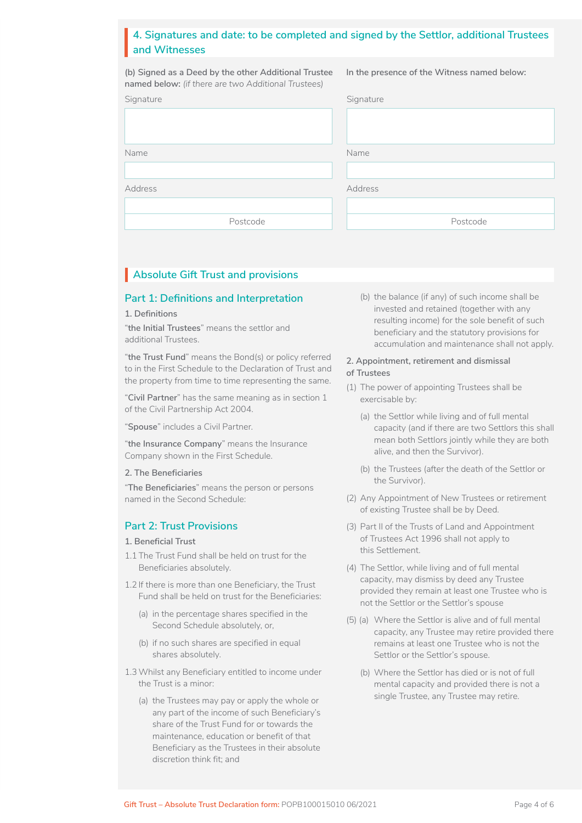### **4. Signatures and date: to be completed and signed by the Settlor, additional Trustees**<br>and Witnesses **and Witnesses**

**(b) Signed as a Deed by the other Additional Trustee named below:** *(if there are two Additional Trustees)*

**In the presence of the Witness named below:**

| Signature      | Signature |
|----------------|-----------|
|                |           |
|                |           |
| Name           | Name      |
|                |           |
| <b>Address</b> | Address   |
|                |           |
| Postcode       | Postcode  |

# Absolute Gift Trust and provisions

### **Part 1: Definitions and Interpretation**

**1. Definitions**

"**the Initial Trustees**" means the settlor and additional Trustees.

"**the Trust Fund**" means the Bond(s) or policy referred to in the First Schedule to the Declaration of Trust and the property from time to time representing the same.

"**Civil Partner**" has the same meaning as in section 1 of the Civil Partnership Act 2004.

"**Spouse**" includes a Civil Partner.

"**the Insurance Company**" means the Insurance Company shown in the First Schedule.

#### **2. The Beneficiaries**

"**The Beneficiaries**" means the person or persons named in the Second Schedule:

### **Part 2: Trust Provisions**

#### **1. Beneficial Trust**

- 1.1 The Trust Fund shall be held on trust for the Beneficiaries absolutely.
- 1.2 If there is more than one Beneficiary, the Trust Fund shall be held on trust for the Beneficiaries:
	- (a) in the percentage shares specified in the Second Schedule absolutely, or,
	- (b) if no such shares are specified in equal shares absolutely.
- 1.3Whilst any Beneficiary entitled to income under the Trust is a minor:
	- (a) the Trustees may pay or apply the whole or any part of the income of such Beneficiary's share of the Trust Fund for or towards the maintenance, education or benefit of that Beneficiary as the Trustees in their absolute discretion think fit; and

(b) the balance (if any) of such income shall be invested and retained (together with any resulting income) for the sole benefit of such beneficiary and the statutory provisions for accumulation and maintenance shall not apply.

### **2. Appointment, retirement and dismissal of Trustees**

- (1) The power of appointing Trustees shall be exercisable by:
	- (a) the Settlor while living and of full mental capacity (and if there are two Settlors this shall mean both Settlors jointly while they are both alive, and then the Survivor).
	- (b) the Trustees (after the death of the Settlor or the Survivor).
- (2) Any Appointment of New Trustees or retirement of existing Trustee shall be by Deed.
- (3) Part II of the Trusts of Land and Appointment of Trustees Act 1996 shall not apply to this Settlement.
- (4) The Settlor, while living and of full mental capacity, may dismiss by deed any Trustee provided they remain at least one Trustee who is not the Settlor or the Settlor's spouse
- (5) (a) Where the Settlor is alive and of full mental capacity, any Trustee may retire provided there remains at least one Trustee who is not the Settlor or the Settlor's spouse.
	- (b) Where the Settlor has died or is not of full mental capacity and provided there is not a single Trustee, any Trustee may retire.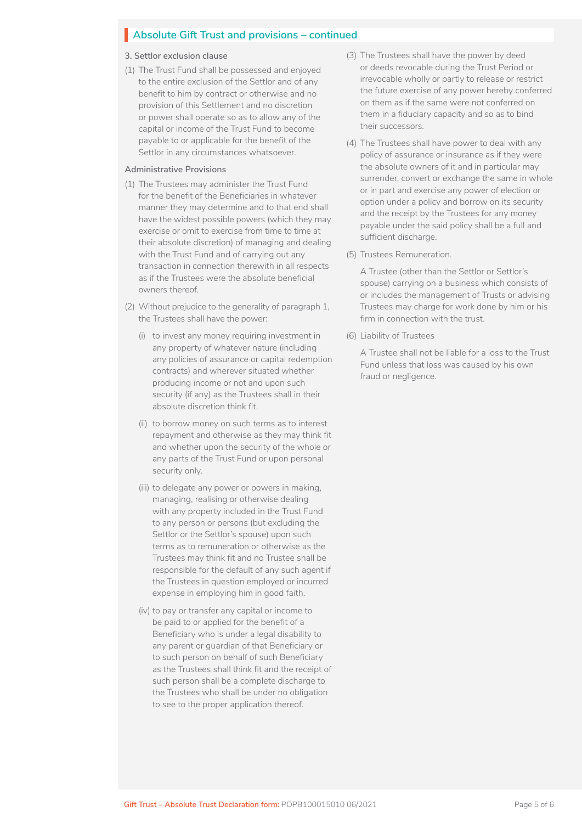# Absolute Gift Trust and provisions – continued

#### **3. Settlor exclusion clause**

(1) The Trust Fund shall be possessed and enjoyed to the entire exclusion of the Settlor and of any benefit to him by contract or otherwise and no provision of this Settlement and no discretion or power shall operate so as to allow any of the capital or income of the Trust Fund to become payable to or applicable for the benefit of the Settlor in any circumstances whatsoever.

#### **Administrative Provisions**

- (1) The Trustees may administer the Trust Fund for the benefit of the Beneficiaries in whatever manner they may determine and to that end shall have the widest possible powers (which they may exercise or omit to exercise from time to time at their absolute discretion) of managing and dealing with the Trust Fund and of carrying out any transaction in connection therewith in all respects as if the Trustees were the absolute beneficial owners thereof.
- (2) Without prejudice to the generality of paragraph 1, the Trustees shall have the power:
	- (i) to invest any money requiring investment in any property of whatever nature (including any policies of assurance or capital redemption contracts) and wherever situated whether producing income or not and upon such security (if any) as the Trustees shall in their absolute discretion think fit.
	- (ii) to borrow money on such terms as to interest repayment and otherwise as they may think fit and whether upon the security of the whole or any parts of the Trust Fund or upon personal security only.
	- (iii) to delegate any power or powers in making, managing, realising or otherwise dealing with any property included in the Trust Fund to any person or persons (but excluding the Settlor or the Settlor's spouse) upon such terms as to remuneration or otherwise as the Trustees may think fit and no Trustee shall be responsible for the default of any such agent if the Trustees in question employed or incurred expense in employing him in good faith.
	- (iv) to pay or transfer any capital or income to be paid to or applied for the benefit of a Beneficiary who is under a legal disability to any parent or guardian of that Beneficiary or to such person on behalf of such Beneficiary as the Trustees shall think fit and the receipt of such person shall be a complete discharge to the Trustees who shall be under no obligation to see to the proper application thereof.
- (3) The Trustees shall have the power by deed or deeds revocable during the Trust Period or irrevocable wholly or partly to release or restrict the future exercise of any power hereby conferred on them as if the same were not conferred on them in a fiduciary capacity and so as to bind their successors.
- (4) The Trustees shall have power to deal with any policy of assurance or insurance as if they were the absolute owners of it and in particular may surrender, convert or exchange the same in whole or in part and exercise any power of election or option under a policy and borrow on its security and the receipt by the Trustees for any money payable under the said policy shall be a full and sufficient discharge.
- (5) Trustees Remuneration.

A Trustee (other than the Settlor or Settlor's spouse) carrying on a business which consists of or includes the management of Trusts or advising Trustees may charge for work done by him or his firm in connection with the trust.

(6) Liability of Trustees

A Trustee shall not be liable for a loss to the Trust Fund unless that loss was caused by his own fraud or negligence.